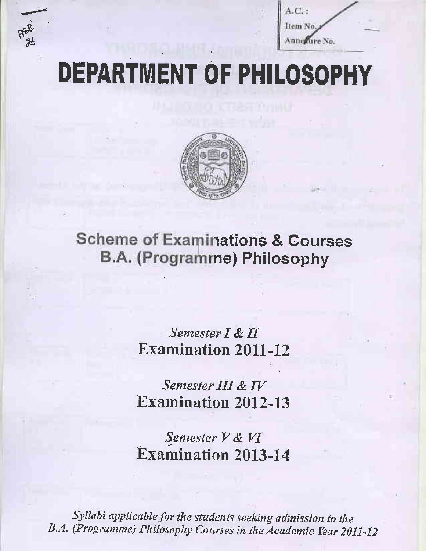

 $A.C.$ : Item No. Annewure No.

# **DEPARTMENT OF PHILOSOPHY**



**Scheme of Examinations & Courses** B.A. (Programme) Philosophy

> Semester I & II **Examination 2011-12**

> Semester III & IV **Examination 2012-13**

> Semester V & VI **Examination 2013-14**

Syllabi applicable for the students seeking admission to the B.A. (Programme) Philosophy Courses in the Academic Year 2011-12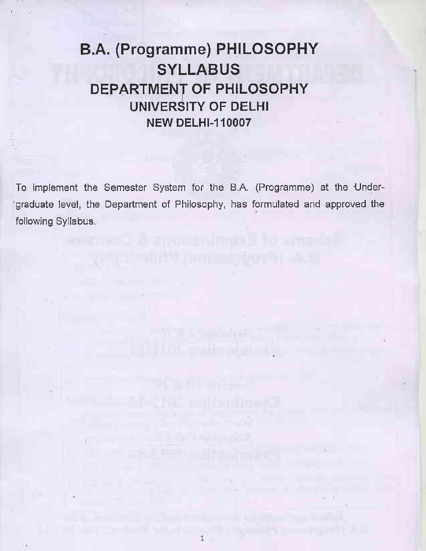## B.A. (Programme) PHILOSOPHY **SYLLABUS** DEPARTMENT OF PHILOSOPHY UNIVERSITY OF DELHI **NEW DELHI-110007**

To implement the Semester System for the B.A. (Programme) at the Under-'graduate level, the Department of Philosophy, has formulated and approved the following Syllabus.

stalling (committee) Ast

**The Same Andre** 

ill Samhanda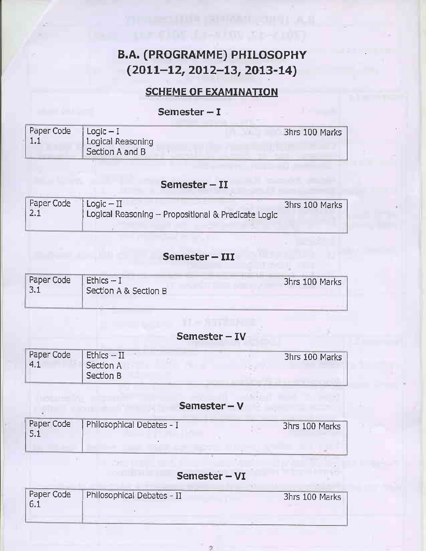### B.A. (PROGRAMME) PHTLOSOPHY  $(2011-12, 2012-13, 2013-14)$

**CONSTRUCTION AND DISTURBANCE** 

#### **SCHEME OF EXAMINATION**

#### Semester  $-1$

| Paper Code $ $ Logic – I | Logical Reasoning | 3hrs 100 Marks |
|--------------------------|-------------------|----------------|
|                          | Section A and B   |                |

#### Semester  $-$  II

| $\vert$ Paper Code $\vert$ Logic $-$ II |                                                     | 3hrs 100 Marks |
|-----------------------------------------|-----------------------------------------------------|----------------|
| 2.1                                     | Logical Reasoning - Propositional & Predicate Logic |                |

#### Semester - III

| Paper Code<br>.J.L | <b>Ethics -- I</b><br>Section A & Section B | 3hrs 100 Marks |
|--------------------|---------------------------------------------|----------------|
|                    |                                             |                |

#### Semester - IV

| Paper Code<br>$-4.1$ | $ $ Ethics $-$ II<br>Section A | 3hrs 100 Marks |
|----------------------|--------------------------------|----------------|
|                      | Section B                      |                |

#### Semester - V

ARTHUR HO

| Paper Code | Philosophical Debates - I | 3hrs 100 Marks |
|------------|---------------------------|----------------|
|            |                           |                |

×

#### Semester - VI

| Paper Code<br>16.1 | Philosophical Debates - II | 3hrs 100 Marks |
|--------------------|----------------------------|----------------|
|                    |                            |                |
|                    |                            |                |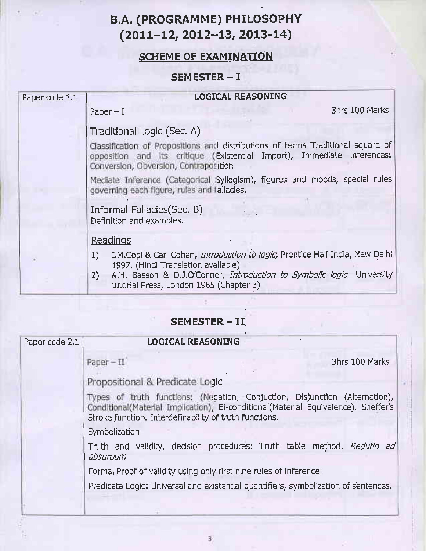## **B.A. (PROGRAMME) PHILOSOPHY**  $(2011-12, 2012-13, 2013-14)$

#### **SCHEME OF EXAMINATION**

#### SEMESTER-I

| Paper code 1.1 | <b>LOGICAL REASONING</b>                                                                                                                                                                                                                            |
|----------------|-----------------------------------------------------------------------------------------------------------------------------------------------------------------------------------------------------------------------------------------------------|
|                | 3hrs 100 Marks<br>Paper $-1$                                                                                                                                                                                                                        |
|                | Traditional Logic (Sec. A)                                                                                                                                                                                                                          |
|                | Classification of Propositions and distributions of terms Traditional square of<br>opposition and its critique (Existential Import), Immediate inferences:<br>Conversion, Obversion, Contraposition                                                 |
|                | Mediate Inference (Categorical Syllogism), figures and moods, special rules<br>governing each figure, rules and fallacies.                                                                                                                          |
|                | Informal Fallacies (Sec. B)<br>Definition and examples.                                                                                                                                                                                             |
|                | Readings                                                                                                                                                                                                                                            |
|                | I.M.Copi & Carl Cohen, Introduction to logic, Prentice Hall India, New Delhi<br>1)<br>1997. (Hindi Translation avallable)<br>A.H. Basson & D.J.O'Conner, Introduction to Symbolic logic University<br>2)<br>tutorial Press, London 1965 (Chapter 3) |

#### SEMESTER - II

| Paper code 2.1 | <b>LOGICAL REASONING</b>                                                                                                                                                                                                    |
|----------------|-----------------------------------------------------------------------------------------------------------------------------------------------------------------------------------------------------------------------------|
|                | 3hrs 100 Marks<br>$Paper - II$                                                                                                                                                                                              |
|                | Propositional & Predicate Logic                                                                                                                                                                                             |
|                | Types of truth functions: (Negation, Conjuction, Disjunction (Alternation),<br>Conditional(Material Implication), Bi-conditional(Material Equivalence). Sheffer's<br>Stroke function. Interdefinability of truth functions. |
|                | Symbolization                                                                                                                                                                                                               |
|                | Truth and validity, decision procedures: Truth table method, Redutio ad<br>absurdum                                                                                                                                         |
|                | Formal Proof of validity using only first nine rules of inference:                                                                                                                                                          |
|                | Predicate Logic: Universal and existential quantifiers, symbolization of sentences.                                                                                                                                         |
|                |                                                                                                                                                                                                                             |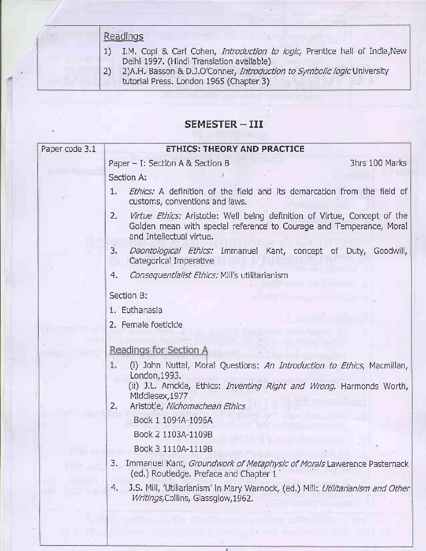#### Readings

- $1)$ I.M. Copi & Carl Cohen, Introduction to logic, Prentice hall of India, New Delhi 1997. (Hindi Translation available)
- 2)A.H. Basson & D.J.O'Conner, Introduction to Symbolic logic University  $2)$ tutorial Press. London 1965 (Chapter 3)

#### SEMESTER-III

| Paper code 3.1 |        | <b>ETHICS: THEORY AND PRACTICE</b>                                                                                                                                           |  |  |                |
|----------------|--------|------------------------------------------------------------------------------------------------------------------------------------------------------------------------------|--|--|----------------|
|                |        | Paper $-$ I: Section A & Section B                                                                                                                                           |  |  | 3hrs 100 Marks |
|                |        | Section A:                                                                                                                                                                   |  |  |                |
|                | 1.     | Ethics: A definition of the field and its demarcation from the field of<br>customs, conventions and laws.                                                                    |  |  |                |
|                | 2.     | Virtue Ethics: Aristotle: Well being definition of Virtue, Concept of the<br>Golden mean with special reference to Courage and Temperance, Moral<br>and Intellectual virtue. |  |  |                |
|                | 3.     | Deontological Ethics: Immanuel Kant, concept of Duty, Goodwill,<br>Categorical Imperative                                                                                    |  |  |                |
|                | 4.     | Consequentialist Ethics: Mill's utilitarianism                                                                                                                               |  |  |                |
|                |        | Section B:                                                                                                                                                                   |  |  |                |
|                |        | 1. Euthanasia                                                                                                                                                                |  |  |                |
|                |        | 2. Female foeticide                                                                                                                                                          |  |  |                |
|                |        | Readings for Section A                                                                                                                                                       |  |  |                |
|                | 1.     | (i) John Nuttal, Moral Questions: An Introduction to Ethics, Macmillan,                                                                                                      |  |  |                |
|                |        | London, 1993.                                                                                                                                                                |  |  |                |
|                |        | (ii) J.L. Amckie, Ethics: <i>Inventing Right and Wrong</i> . Harmonds Worth,<br>Middlesex, 1977                                                                              |  |  |                |
|                | $2, -$ | Aristotle, Nichomachean Ethics                                                                                                                                               |  |  |                |
|                |        | Book 1 1094A-1096A                                                                                                                                                           |  |  |                |
|                |        | Book 2 1103A-1109B                                                                                                                                                           |  |  |                |
|                |        | Book 3 1110A-1119B                                                                                                                                                           |  |  |                |
|                | 3.     | Immanuel Kant, Groundwork of Metaphysic of Morals Lawerence Pasternack<br>(ed.) Routledge. Preface and Chapter 1                                                             |  |  |                |
|                | 4.     | J.S. Mill, 'Utiliarianism' in Mary Warnock, (ed.) Mill: Utilitarianism and Other<br>Writings, Collins, Glassglow, 1962.                                                      |  |  |                |
|                |        |                                                                                                                                                                              |  |  |                |
|                |        |                                                                                                                                                                              |  |  |                |